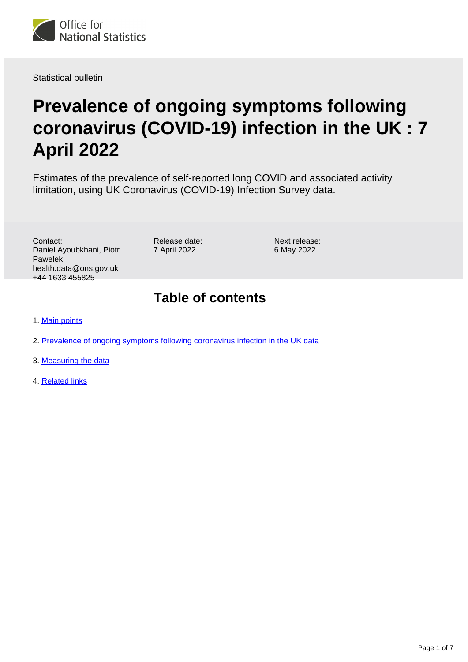

Statistical bulletin

# **Prevalence of ongoing symptoms following coronavirus (COVID-19) infection in the UK : 7 April 2022**

Estimates of the prevalence of self-reported long COVID and associated activity limitation, using UK Coronavirus (COVID-19) Infection Survey data.

Contact: Daniel Ayoubkhani, Piotr Pawelek health.data@ons.gov.uk +44 1633 455825

Release date: 7 April 2022

Next release: 6 May 2022

## **Table of contents**

- 1. [Main points](#page-1-0)
- 2. [Prevalence of ongoing symptoms following coronavirus infection in the UK data](#page-4-0)
- 3. [Measuring the data](#page-4-1)
- 4. [Related links](#page-6-0)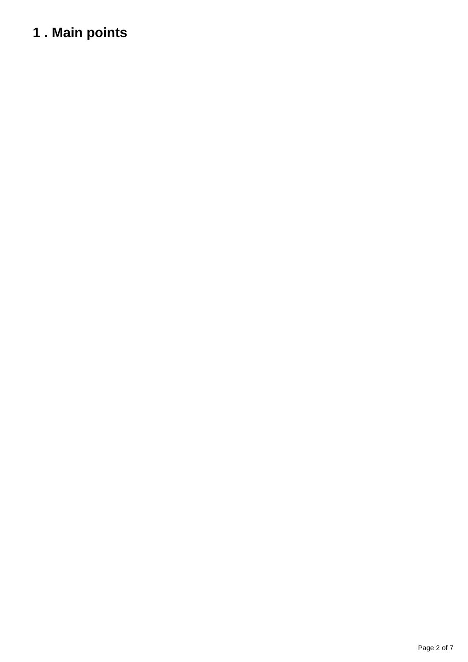# <span id="page-1-0"></span>**1 . Main points**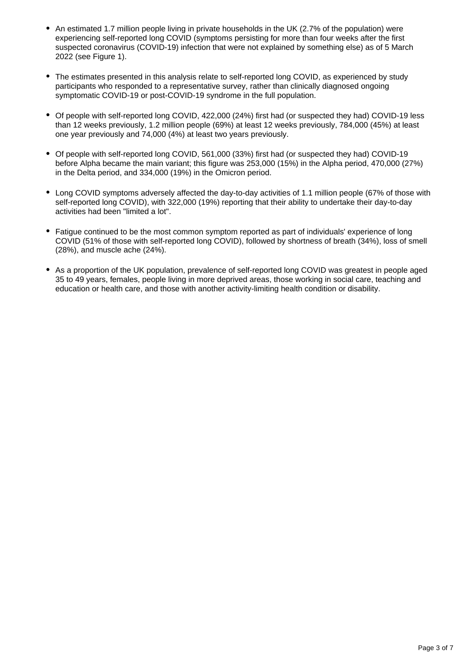- An estimated 1.7 million people living in private households in the UK (2.7% of the population) were experiencing self-reported long COVID (symptoms persisting for more than four weeks after the first suspected coronavirus (COVID-19) infection that were not explained by something else) as of 5 March 2022 (see Figure 1).
- The estimates presented in this analysis relate to self-reported long COVID, as experienced by study participants who responded to a representative survey, rather than clinically diagnosed ongoing symptomatic COVID-19 or post-COVID-19 syndrome in the full population.
- Of people with self-reported long COVID, 422,000 (24%) first had (or suspected they had) COVID-19 less than 12 weeks previously, 1.2 million people (69%) at least 12 weeks previously, 784,000 (45%) at least one year previously and 74,000 (4%) at least two years previously.
- Of people with self-reported long COVID, 561,000 (33%) first had (or suspected they had) COVID-19 before Alpha became the main variant; this figure was 253,000 (15%) in the Alpha period, 470,000 (27%) in the Delta period, and 334,000 (19%) in the Omicron period.
- Long COVID symptoms adversely affected the day-to-day activities of 1.1 million people (67% of those with self-reported long COVID), with 322,000 (19%) reporting that their ability to undertake their day-to-day activities had been "limited a lot".
- Fatigue continued to be the most common symptom reported as part of individuals' experience of long COVID (51% of those with self-reported long COVID), followed by shortness of breath (34%), loss of smell (28%), and muscle ache (24%).
- As a proportion of the UK population, prevalence of self-reported long COVID was greatest in people aged 35 to 49 years, females, people living in more deprived areas, those working in social care, teaching and education or health care, and those with another activity-limiting health condition or disability.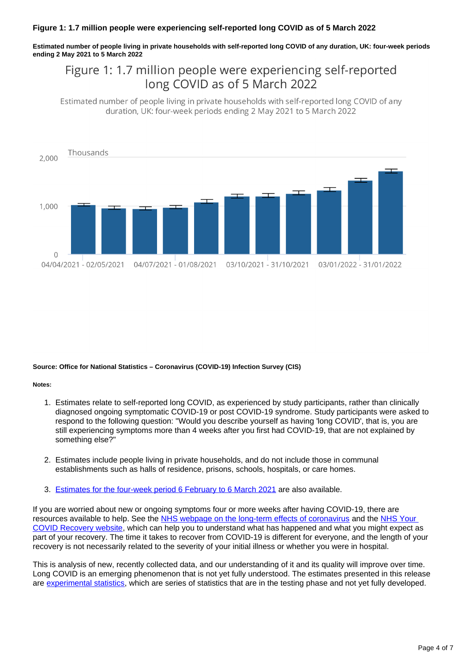**Estimated number of people living in private households with self-reported long COVID of any duration, UK: four-week periods ending 2 May 2021 to 5 March 2022**

### Figure 1: 1.7 million people were experiencing self-reported long COVID as of 5 March 2022

Estimated number of people living in private households with self-reported long COVID of any duration, UK: four-week periods ending 2 May 2021 to 5 March 2022



#### **Source: Office for National Statistics – Coronavirus (COVID-19) Infection Survey (CIS)**

#### **Notes:**

- 1. Estimates relate to self-reported long COVID, as experienced by study participants, rather than clinically diagnosed ongoing symptomatic COVID-19 or post COVID-19 syndrome. Study participants were asked to respond to the following question: "Would you describe yourself as having 'long COVID', that is, you are still experiencing symptoms more than 4 weeks after you first had COVID-19, that are not explained by something else?"
- 2. Estimates include people living in private households, and do not include those in communal establishments such as halls of residence, prisons, schools, hospitals, or care homes.
- 3. [Estimates for the four-week period 6 February to 6 March 2021](https://www.ons.gov.uk/peoplepopulationandcommunity/healthandsocialcare/conditionsanddiseases/bulletins/prevalenceofongoingsymptomsfollowingcoronaviruscovid19infectionintheuk/1april2021)</u> are also available.

If you are worried about new or ongoing symptoms four or more weeks after having COVID-19, there are resources available to help. See the [NHS webpage on the long-term effects of coronavirus](https://www.nhs.uk/conditions/coronavirus-covid-19/long-term-effects-of-coronavirus-long-covid/) and the NHS Your [COVID Recovery website](https://www.yourcovidrecovery.nhs.uk/), which can help you to understand what has happened and what you might expect as part of your recovery. The time it takes to recover from COVID-19 is different for everyone, and the length of your recovery is not necessarily related to the severity of your initial illness or whether you were in hospital.

This is analysis of new, recently collected data, and our understanding of it and its quality will improve over time. Long COVID is an emerging phenomenon that is not yet fully understood. The estimates presented in this release are [experimental statistics,](https://www.ons.gov.uk/methodology/methodologytopicsandstatisticalconcepts/guidetoexperimentalstatistics) which are series of statistics that are in the testing phase and not yet fully developed.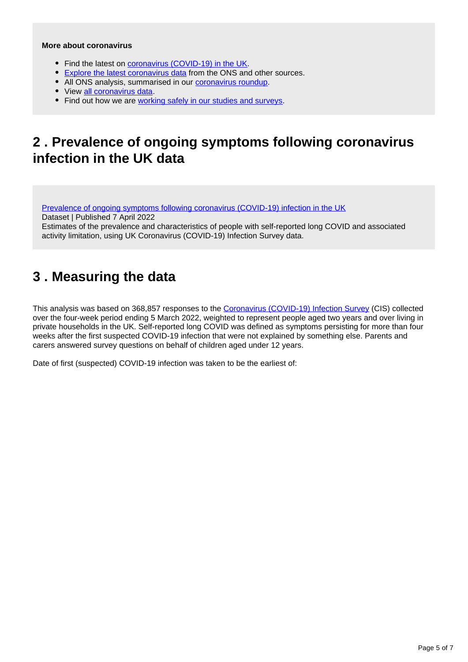### **More about coronavirus**

- Find the latest on [coronavirus \(COVID-19\) in the UK.](https://www.ons.gov.uk/peoplepopulationandcommunity/healthandsocialcare/conditionsanddiseases)
- [Explore the latest coronavirus data](https://www.ons.gov.uk/peoplepopulationandcommunity/healthandsocialcare/conditionsanddiseases/articles/coronaviruscovid19/latestinsights) from the ONS and other sources.
- All ONS analysis, summarised in our [coronavirus roundup.](https://www.ons.gov.uk/peoplepopulationandcommunity/healthandsocialcare/conditionsanddiseases/articles/coronaviruscovid19roundup/latest)
- View [all coronavirus data](https://www.ons.gov.uk/peoplepopulationandcommunity/healthandsocialcare/conditionsanddiseases/datalist).
- Find out how we are [working safely in our studies and surveys.](https://www.ons.gov.uk/news/statementsandletters/ensuringyoursafetyduringcovid19)

### <span id="page-4-0"></span>**2 . Prevalence of ongoing symptoms following coronavirus infection in the UK data**

[Prevalence of ongoing symptoms following coronavirus \(COVID-19\) infection in the UK](https://www.ons.gov.uk/peoplepopulationandcommunity/healthandsocialcare/conditionsanddiseases/datasets/alldatarelatingtoprevalenceofongoingsymptomsfollowingcoronaviruscovid19infectionintheuk) Dataset | Published 7 April 2022

Estimates of the prevalence and characteristics of people with self-reported long COVID and associated

activity limitation, using UK Coronavirus (COVID-19) Infection Survey data.

# <span id="page-4-1"></span>**3 . Measuring the data**

This analysis was based on 368,857 responses to the [Coronavirus \(COVID-19\) Infection Survey](https://www.ons.gov.uk/peoplepopulationandcommunity/healthandsocialcare/conditionsanddiseases/methodologies/covid19infectionsurveypilotmethodsandfurtherinformation) (CIS) collected over the four-week period ending 5 March 2022, weighted to represent people aged two years and over living in private households in the UK. Self-reported long COVID was defined as symptoms persisting for more than four weeks after the first suspected COVID-19 infection that were not explained by something else. Parents and carers answered survey questions on behalf of children aged under 12 years.

Date of first (suspected) COVID-19 infection was taken to be the earliest of: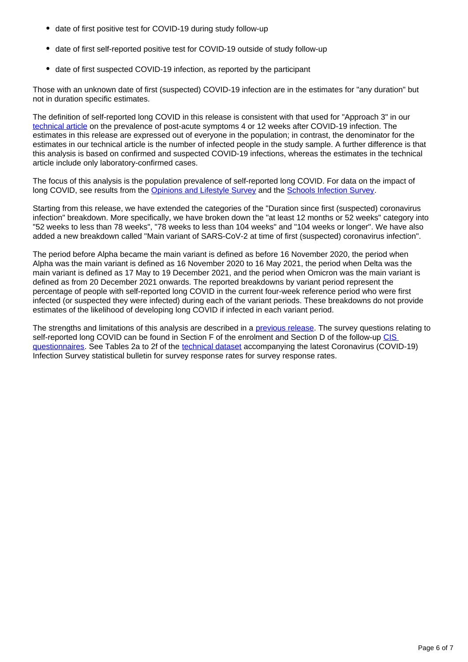- date of first positive test for COVID-19 during study follow-up
- date of first self-reported positive test for COVID-19 outside of study follow-up
- date of first suspected COVID-19 infection, as reported by the participant

Those with an unknown date of first (suspected) COVID-19 infection are in the estimates for "any duration" but not in duration specific estimates.

The definition of self-reported long COVID in this release is consistent with that used for "Approach 3" in our [technical article](https://www.ons.gov.uk/peoplepopulationandcommunity/healthandsocialcare/conditionsanddiseases/articles/technicalarticleupdatedestimatesoftheprevalenceofpostacutesymptomsamongpeoplewithcoronaviruscovid19intheuk/26april2020to1august2021) on the prevalence of post-acute symptoms 4 or 12 weeks after COVID-19 infection. The estimates in this release are expressed out of everyone in the population; in contrast, the denominator for the estimates in our technical article is the number of infected people in the study sample. A further difference is that this analysis is based on confirmed and suspected COVID-19 infections, whereas the estimates in the technical article include only laboratory-confirmed cases.

The focus of this analysis is the population prevalence of self-reported long COVID. For data on the impact of long COVID, see results from the [Opinions and Lifestyle Survey](https://www.ons.gov.uk/peoplepopulationandcommunity/healthandsocialcare/conditionsanddiseases/articles/coronavirusandthesocialimpactsoflongcovidonpeopleslivesingreatbritain/7aprilto13june2021) and the [Schools Infection Survey](https://www.ons.gov.uk/peoplepopulationandcommunity/healthandsocialcare/conditionsanddiseases/bulletins/covid19schoolsinfectionsurveyenglandprevalenceofongoingsymptomsfollowingcoronaviruscovid19infectioninschoolpupilsandstaff/july2021).

Starting from this release, we have extended the categories of the "Duration since first (suspected) coronavirus infection" breakdown. More specifically, we have broken down the "at least 12 months or 52 weeks" category into "52 weeks to less than 78 weeks", "78 weeks to less than 104 weeks" and "104 weeks or longer". We have also added a new breakdown called "Main variant of SARS-CoV-2 at time of first (suspected) coronavirus infection".

The period before Alpha became the main variant is defined as before 16 November 2020, the period when Alpha was the main variant is defined as 16 November 2020 to 16 May 2021, the period when Delta was the main variant is defined as 17 May to 19 December 2021, and the period when Omicron was the main variant is defined as from 20 December 2021 onwards. The reported breakdowns by variant period represent the percentage of people with self-reported long COVID in the current four-week reference period who were first infected (or suspected they were infected) during each of the variant periods. These breakdowns do not provide estimates of the likelihood of developing long COVID if infected in each variant period.

The strengths and limitations of this analysis are described in a *previous release*. The survey questions relating to self-reported long COVID can be found in Section F of the enrolment and Section D of the follow-up CIS [questionnaires.](https://www.ndm.ox.ac.uk/covid-19/covid-19-infection-survey/case-record-forms) See Tables 2a to 2f of the [technical dataset](https://www.ons.gov.uk/peoplepopulationandcommunity/healthandsocialcare/conditionsanddiseases/datasets/covid19infectionsurveytechnicaldata) accompanying the latest Coronavirus (COVID-19) Infection Survey statistical bulletin for survey response rates for survey response rates.